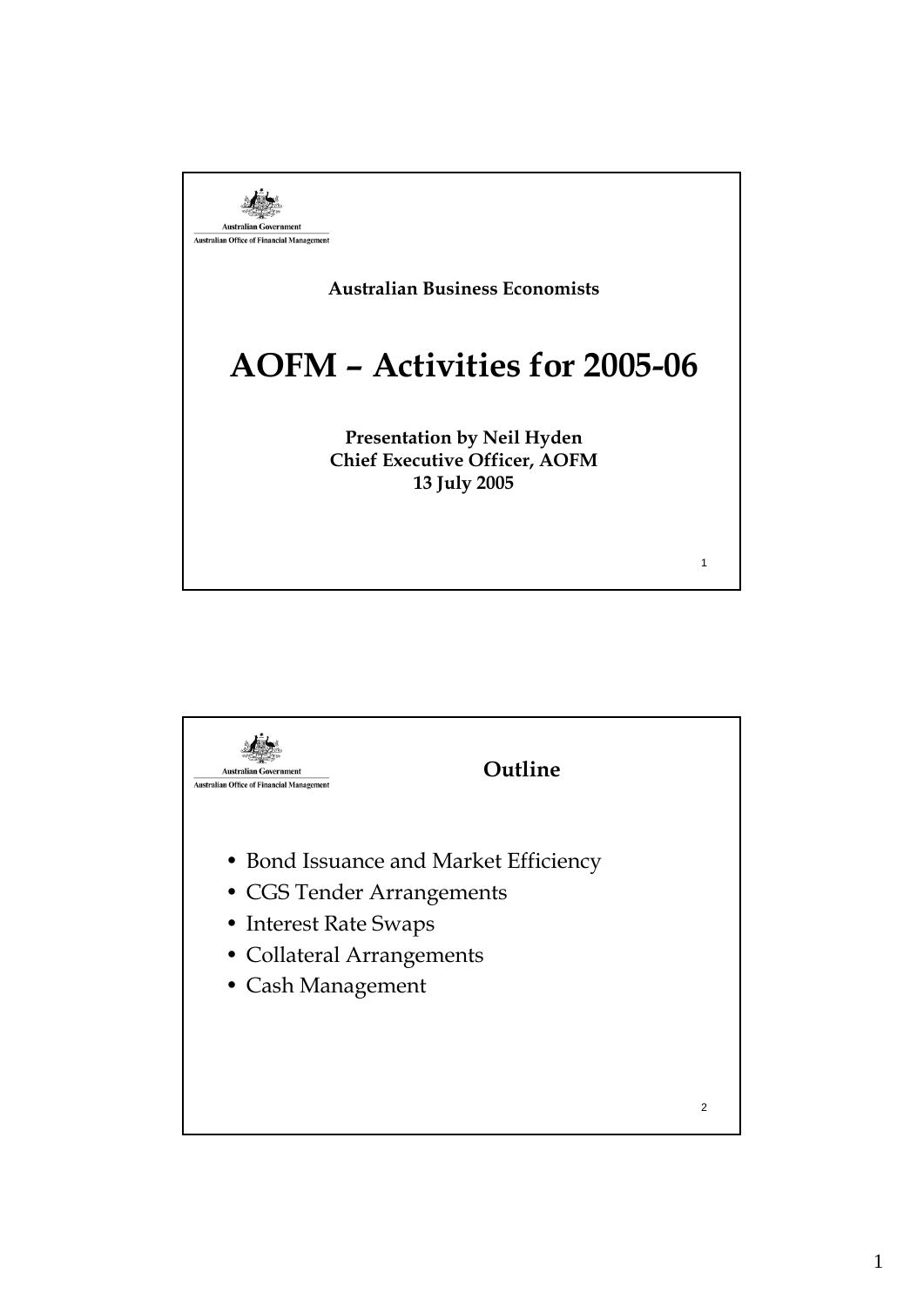

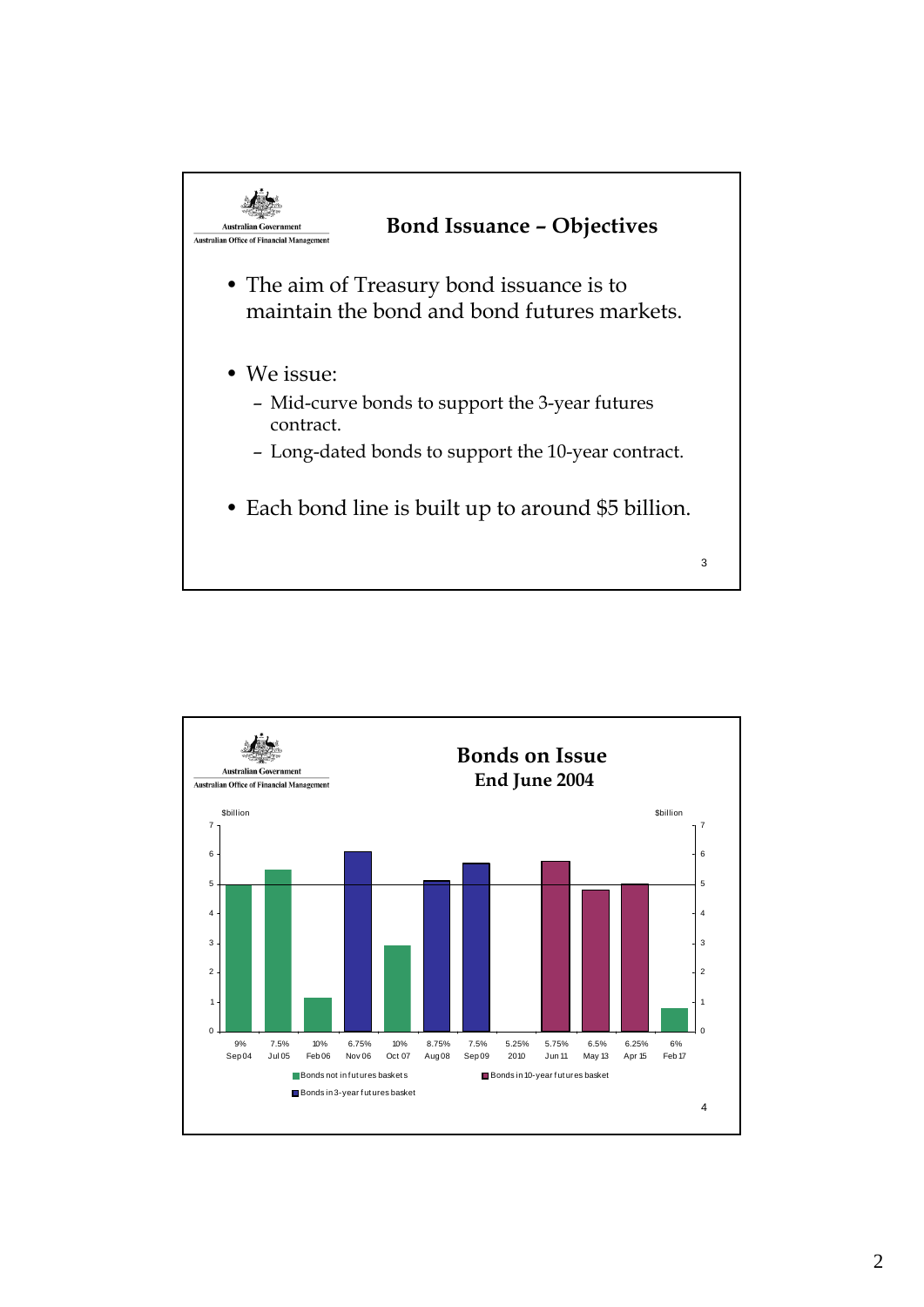

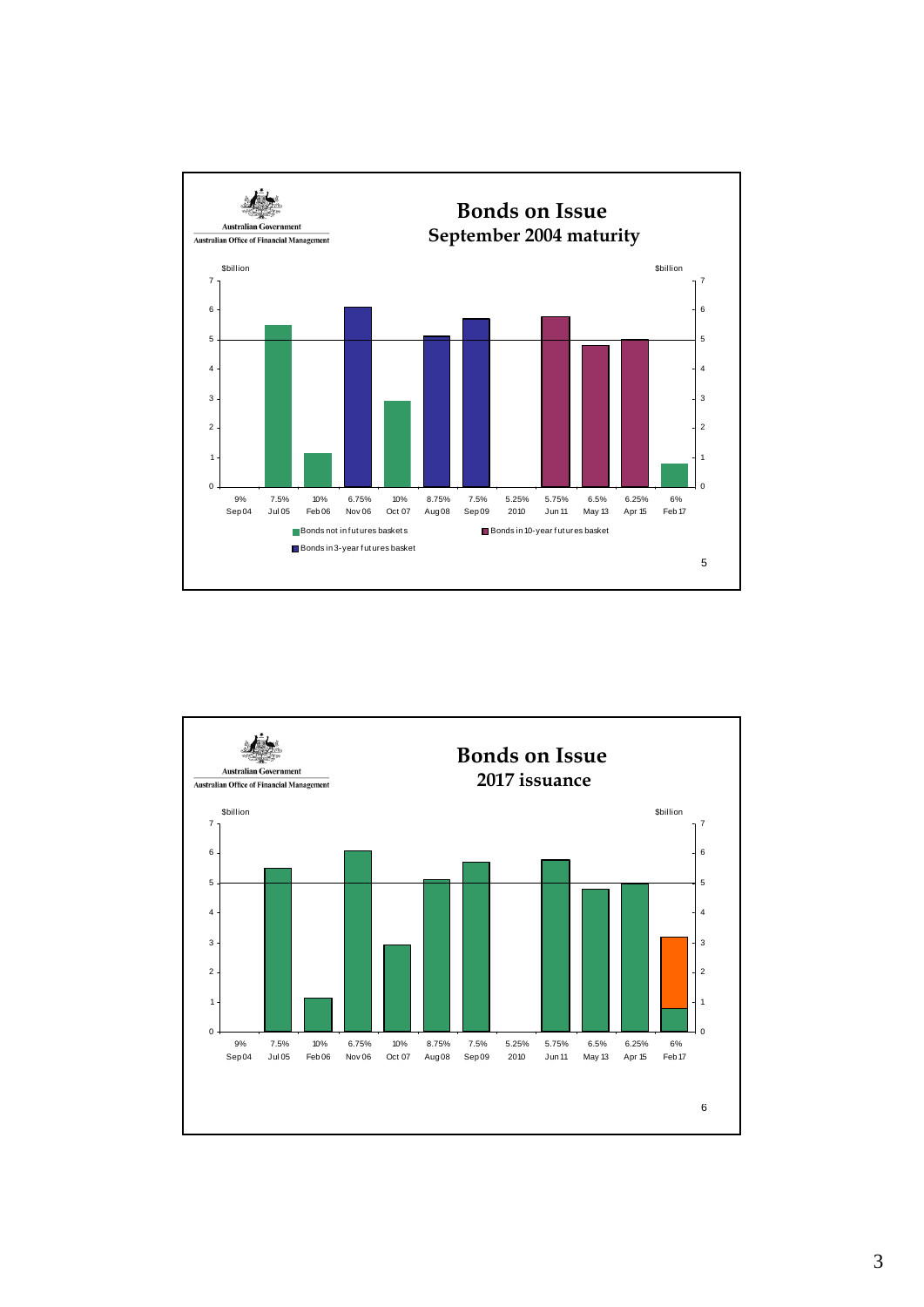

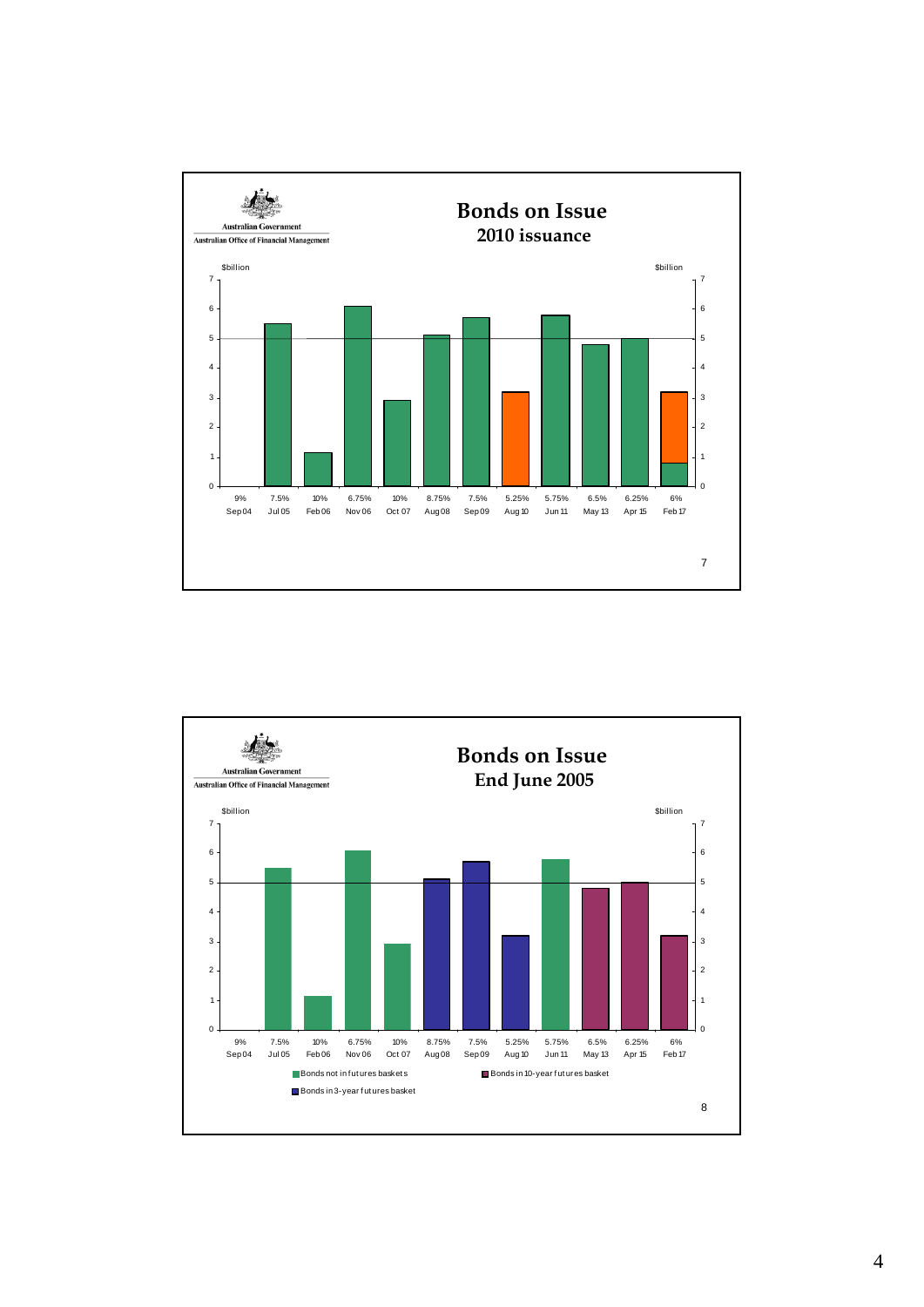

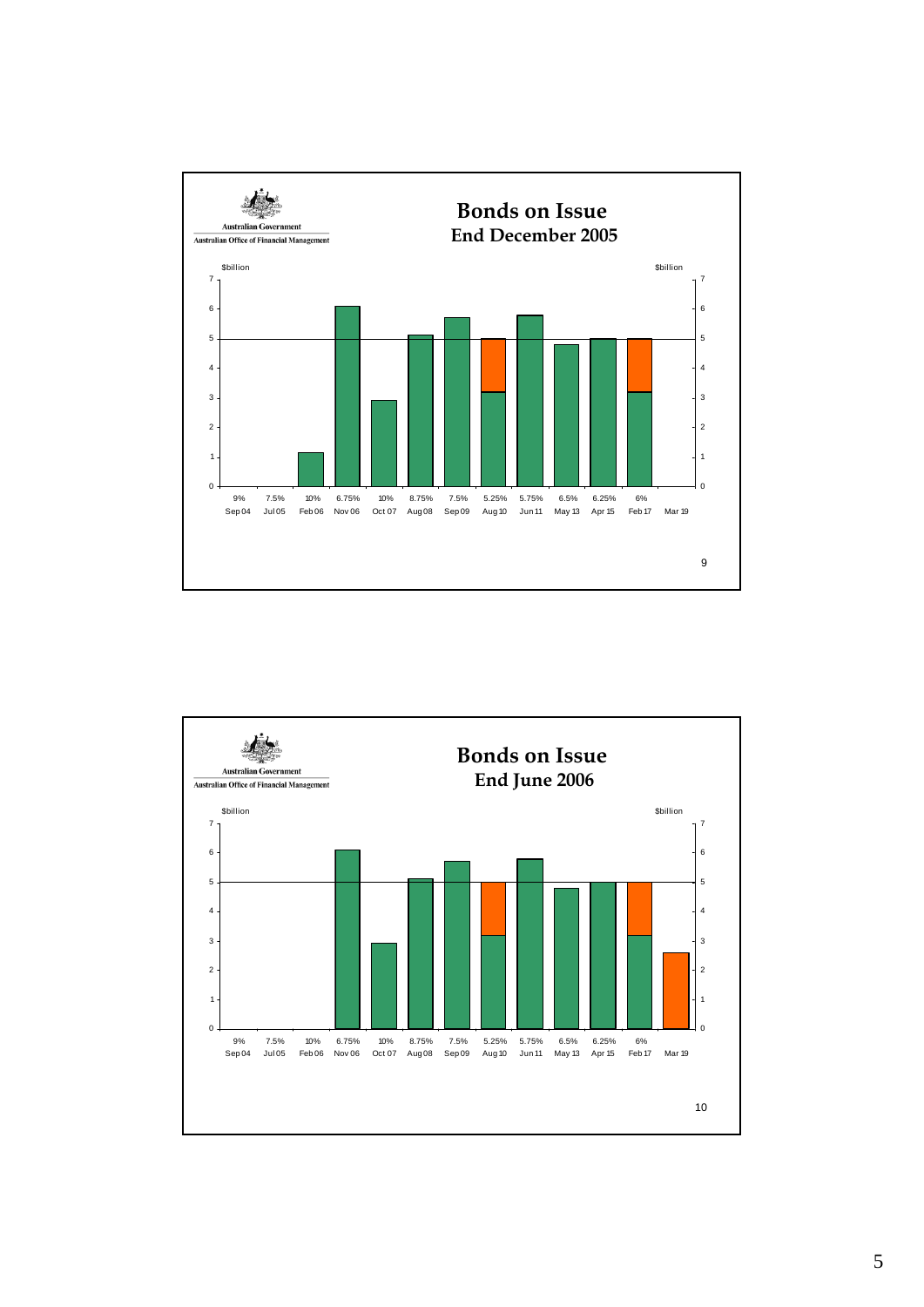

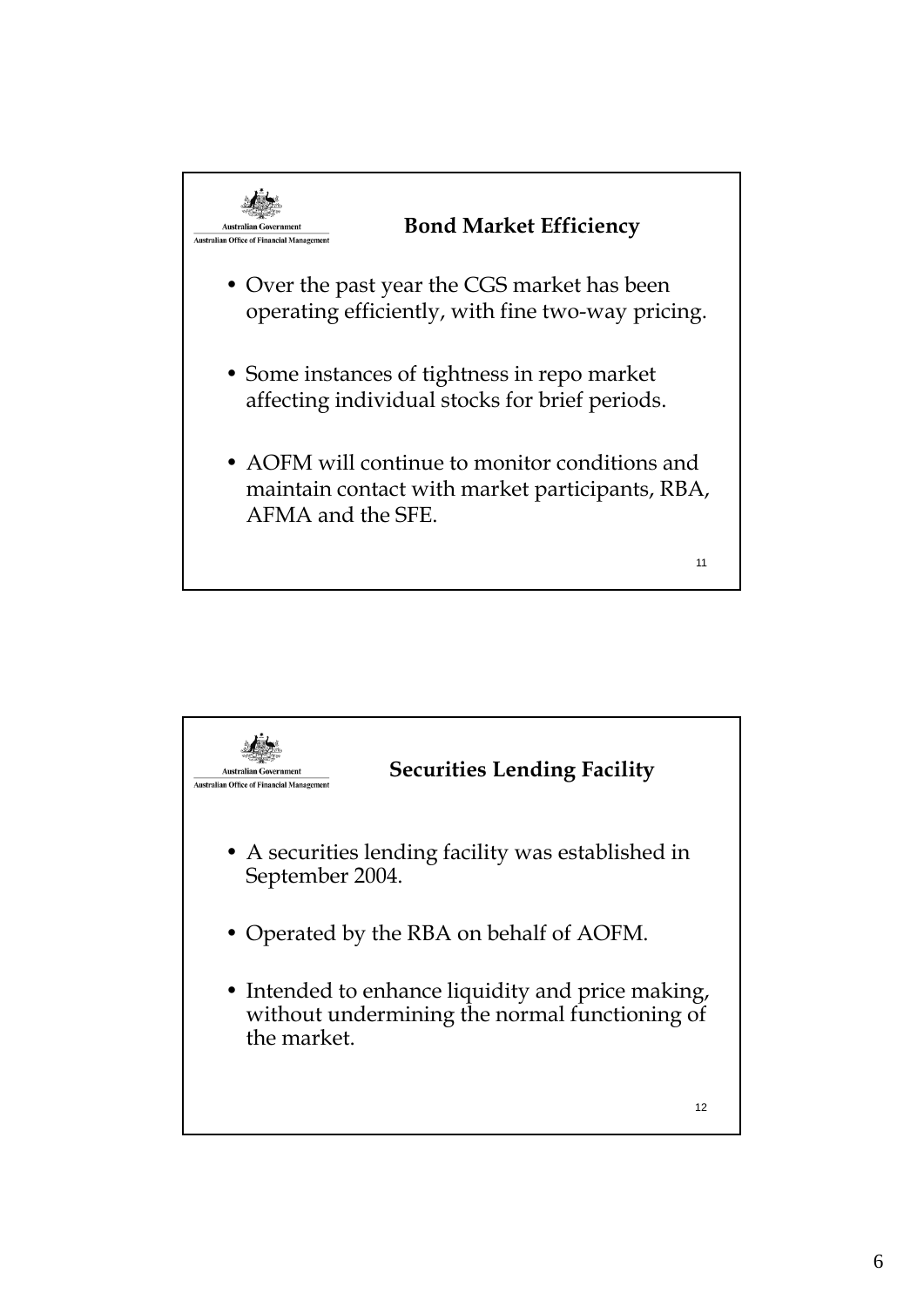

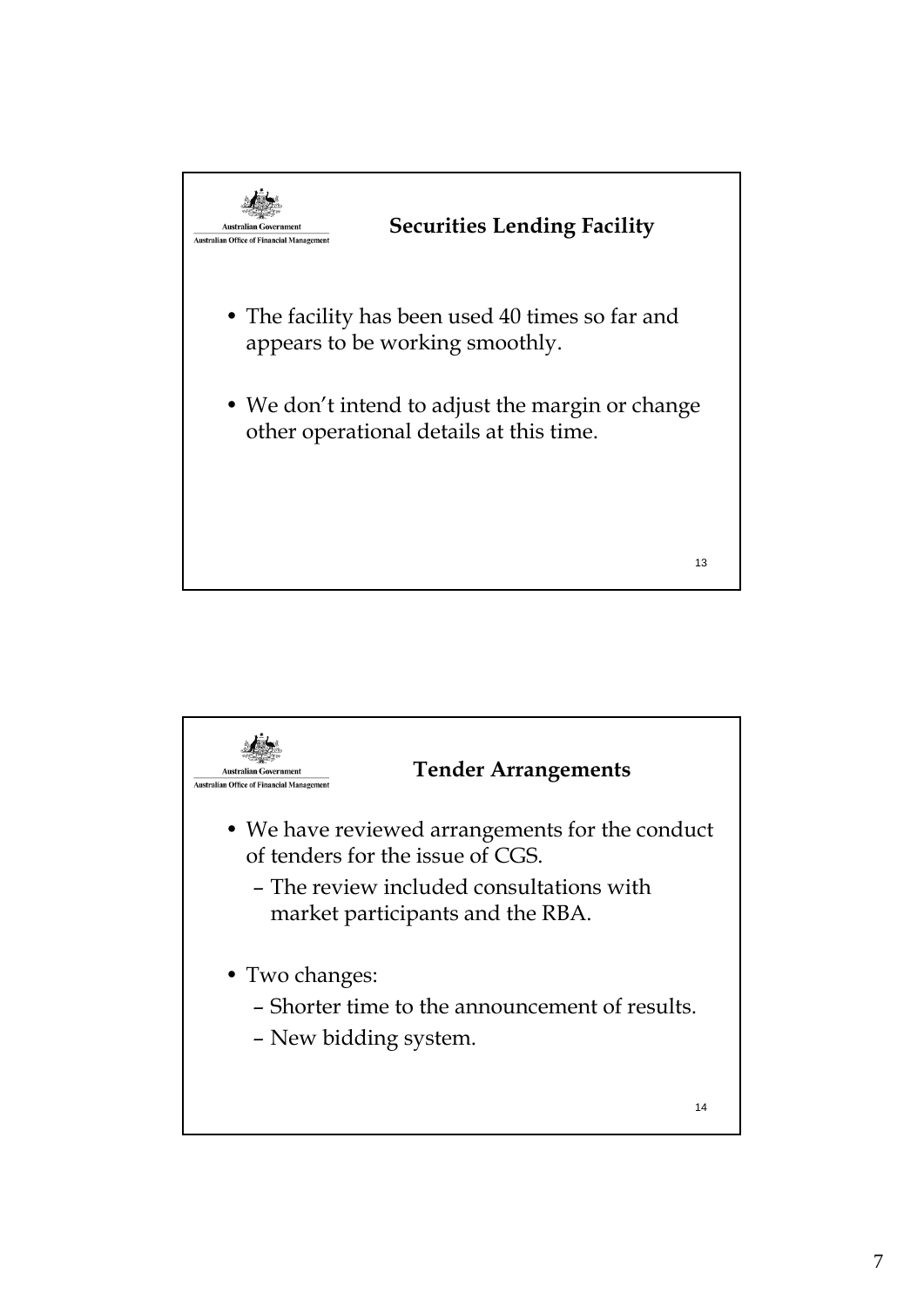

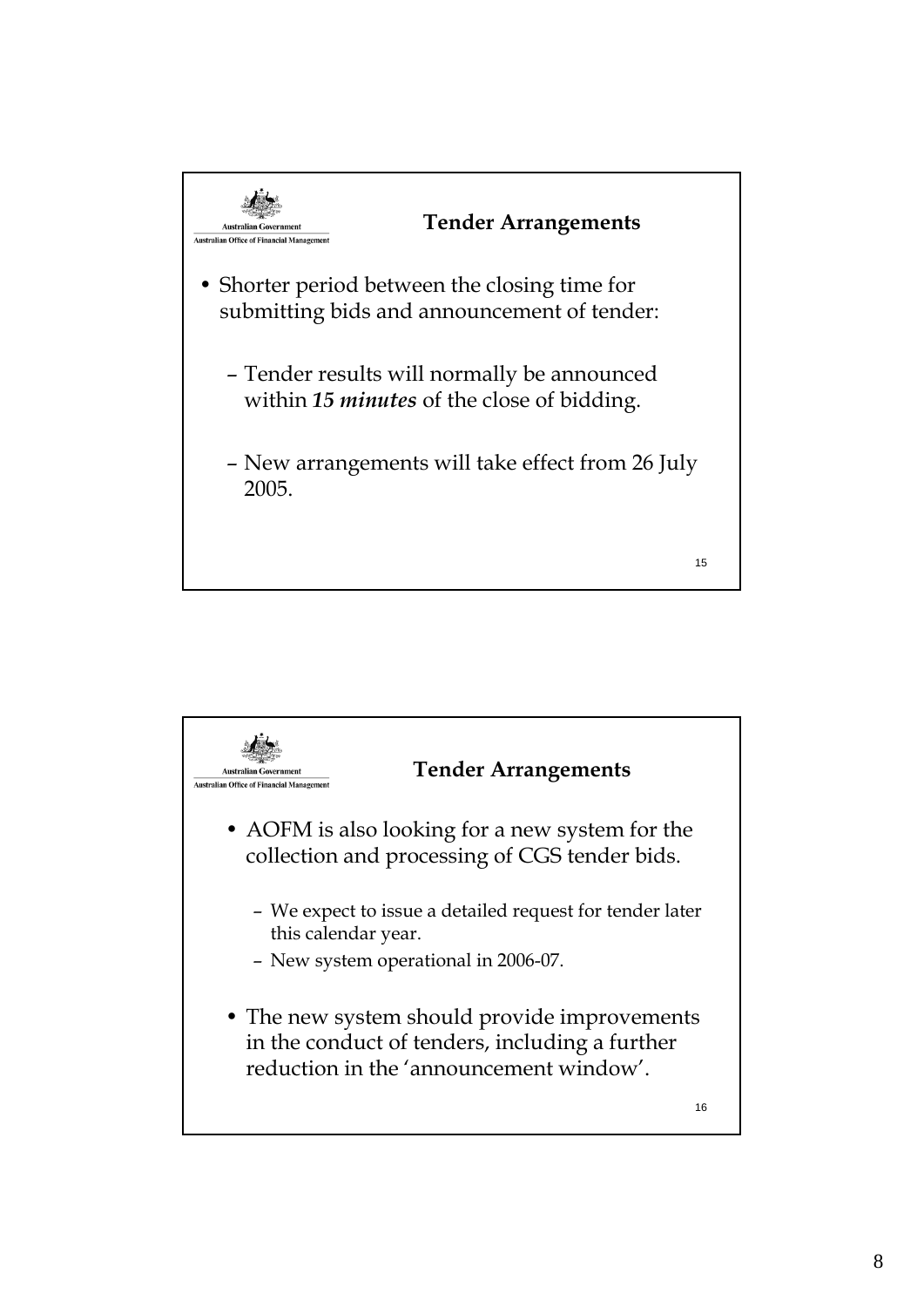

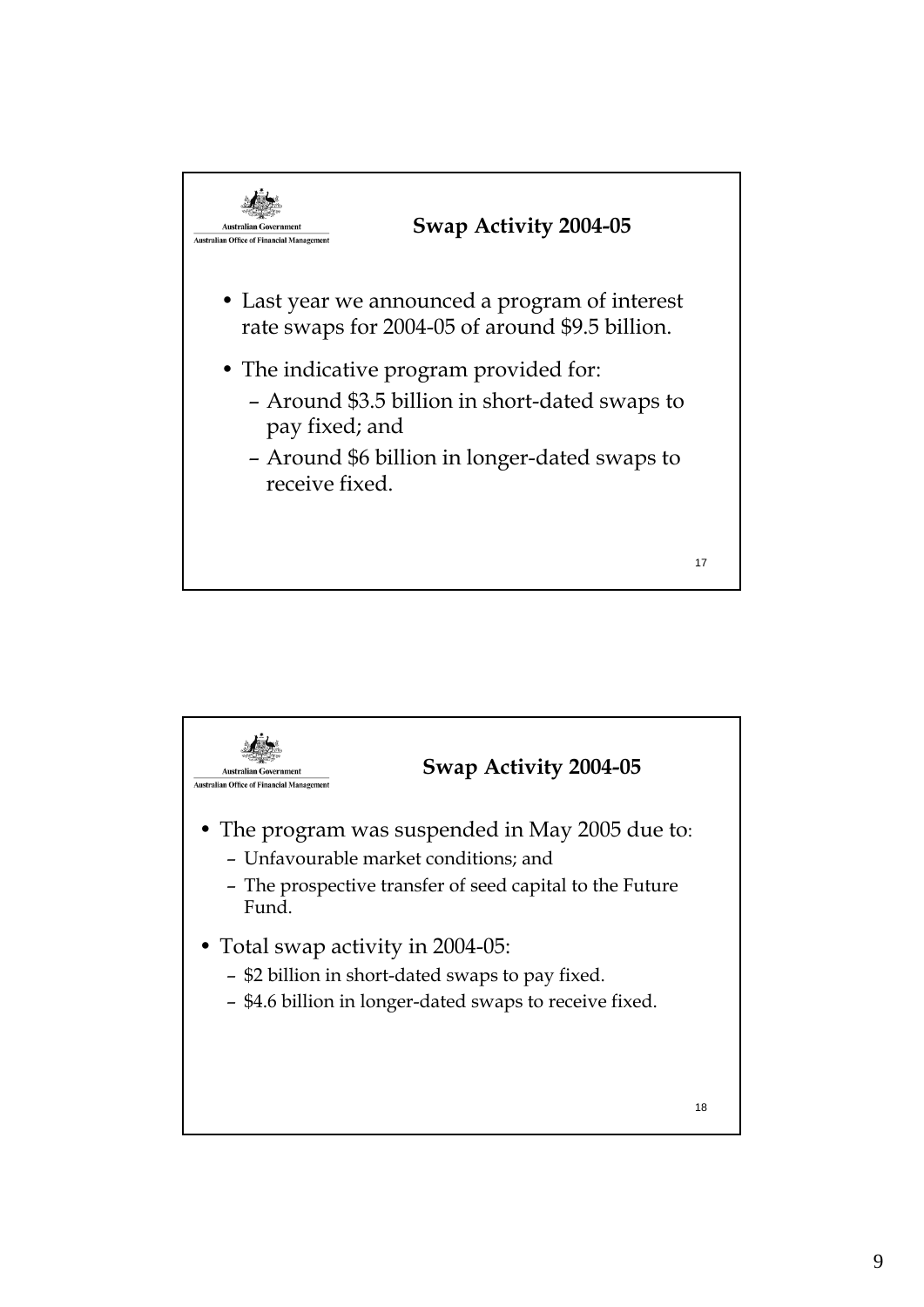

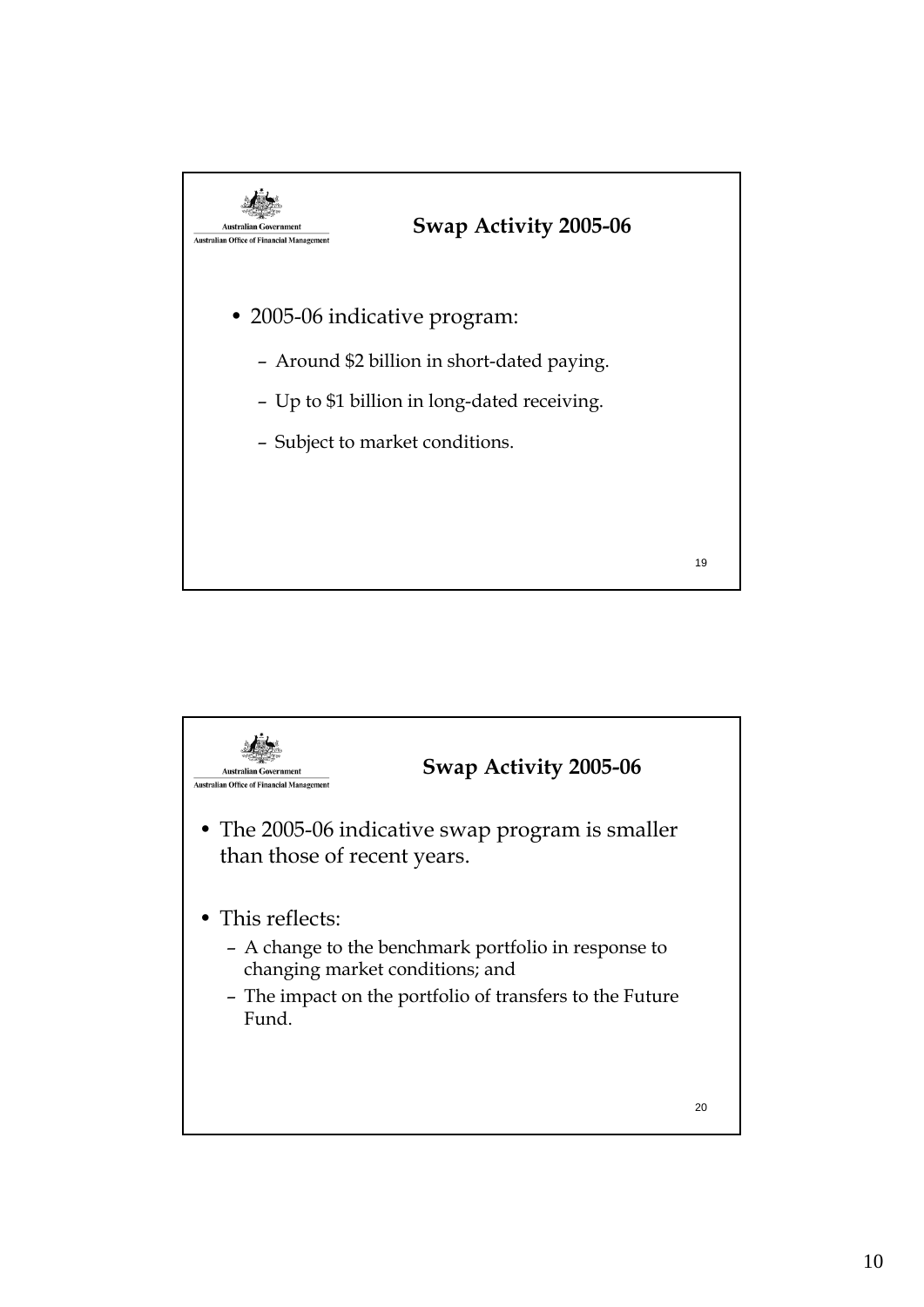

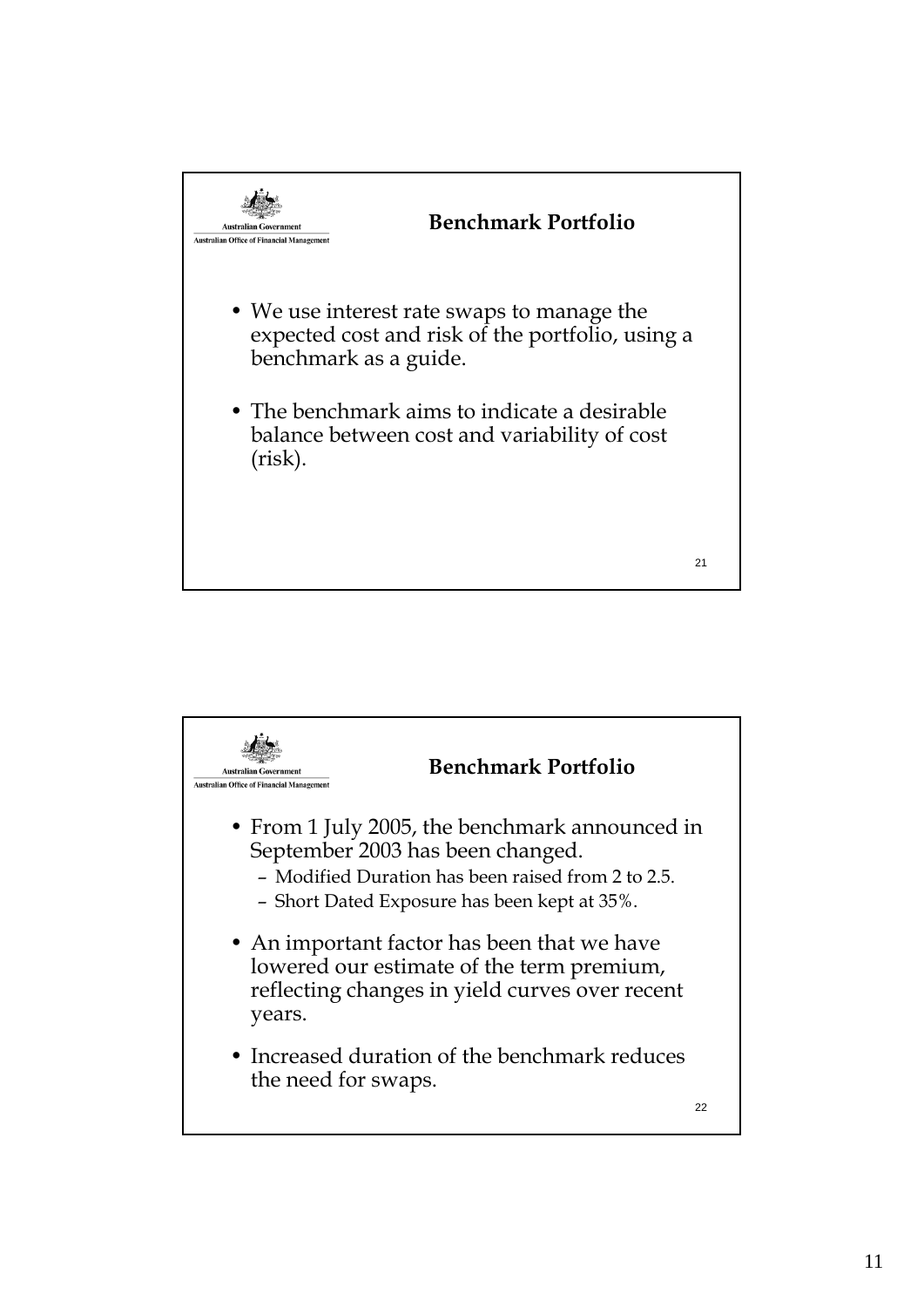

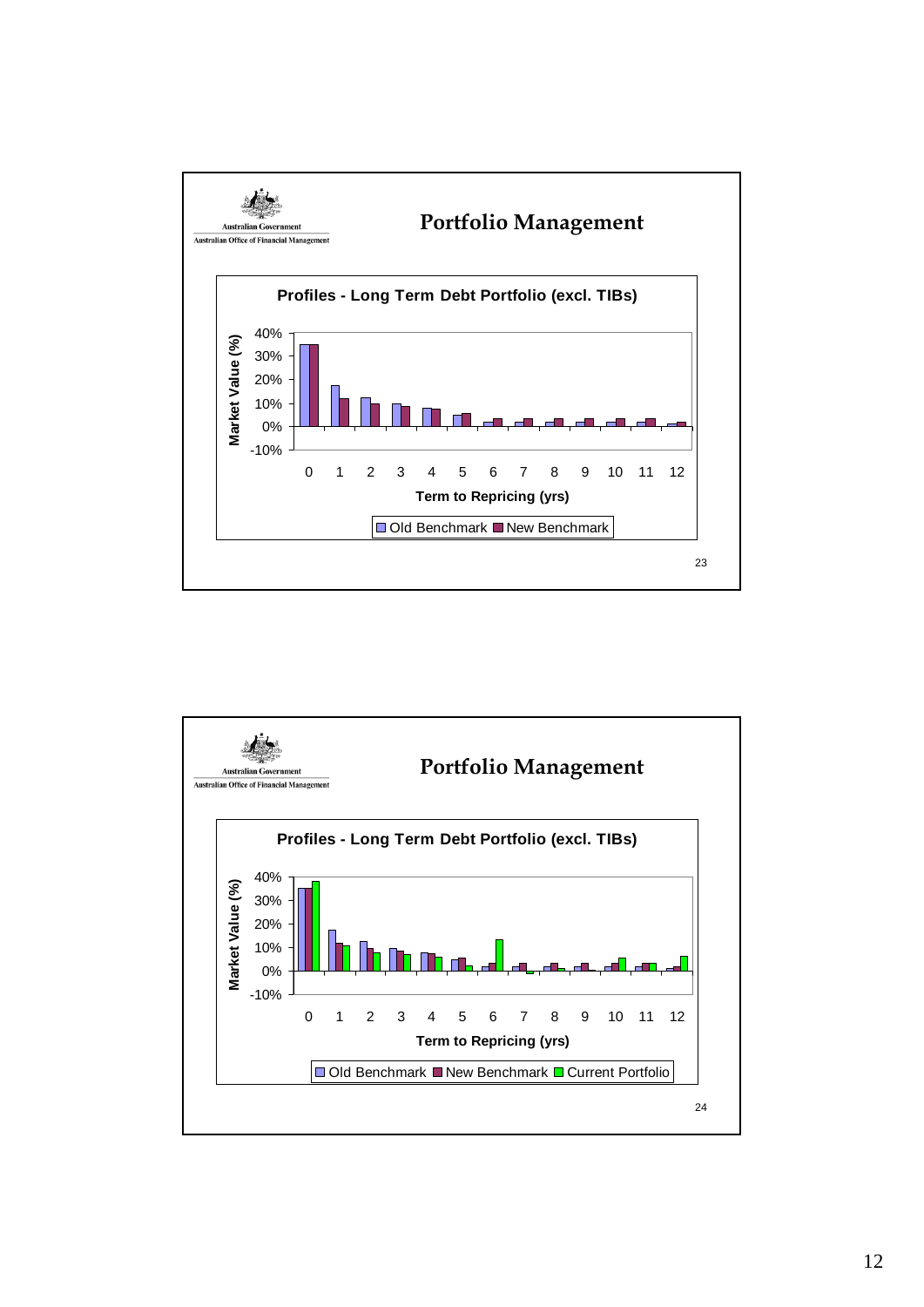

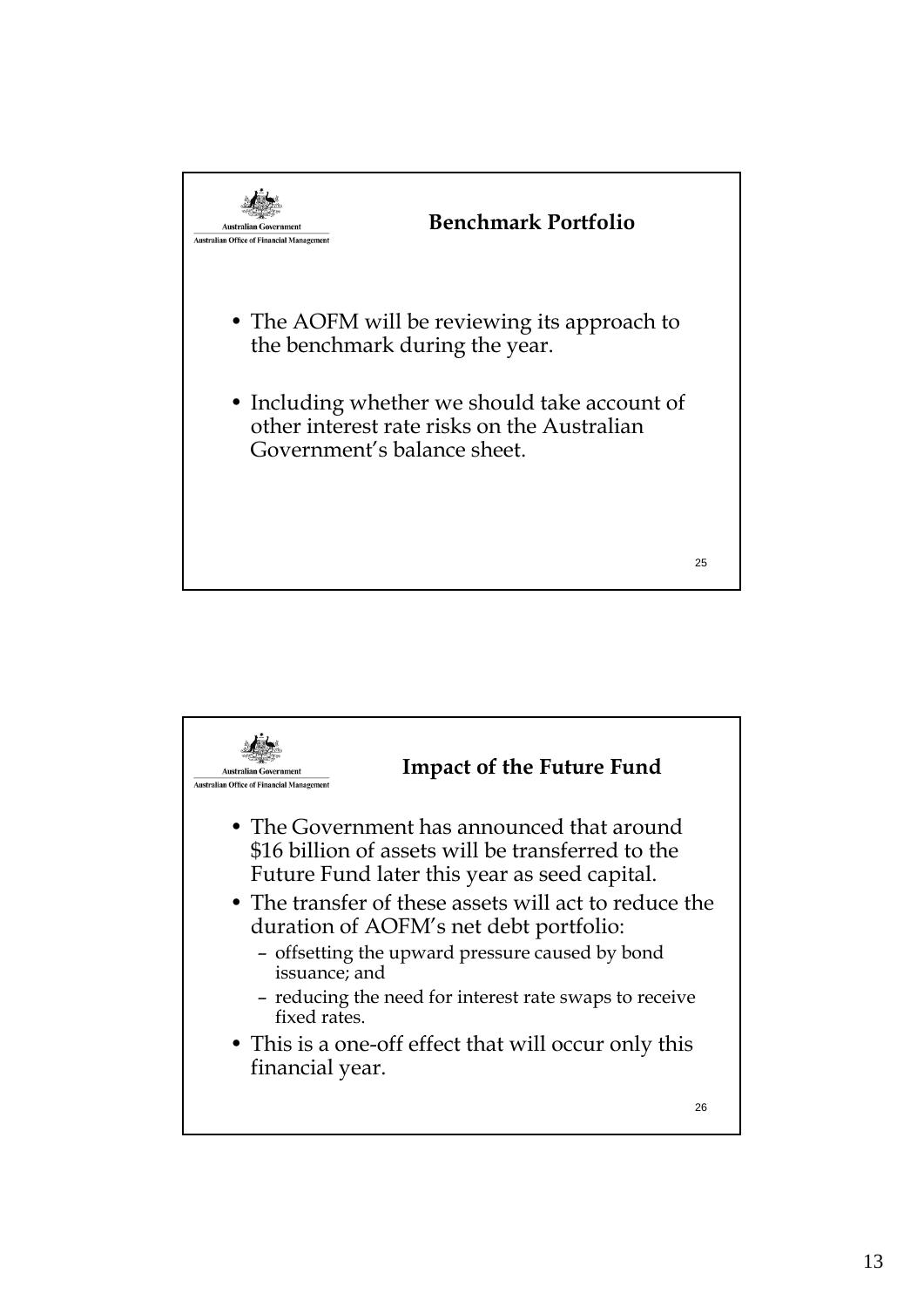

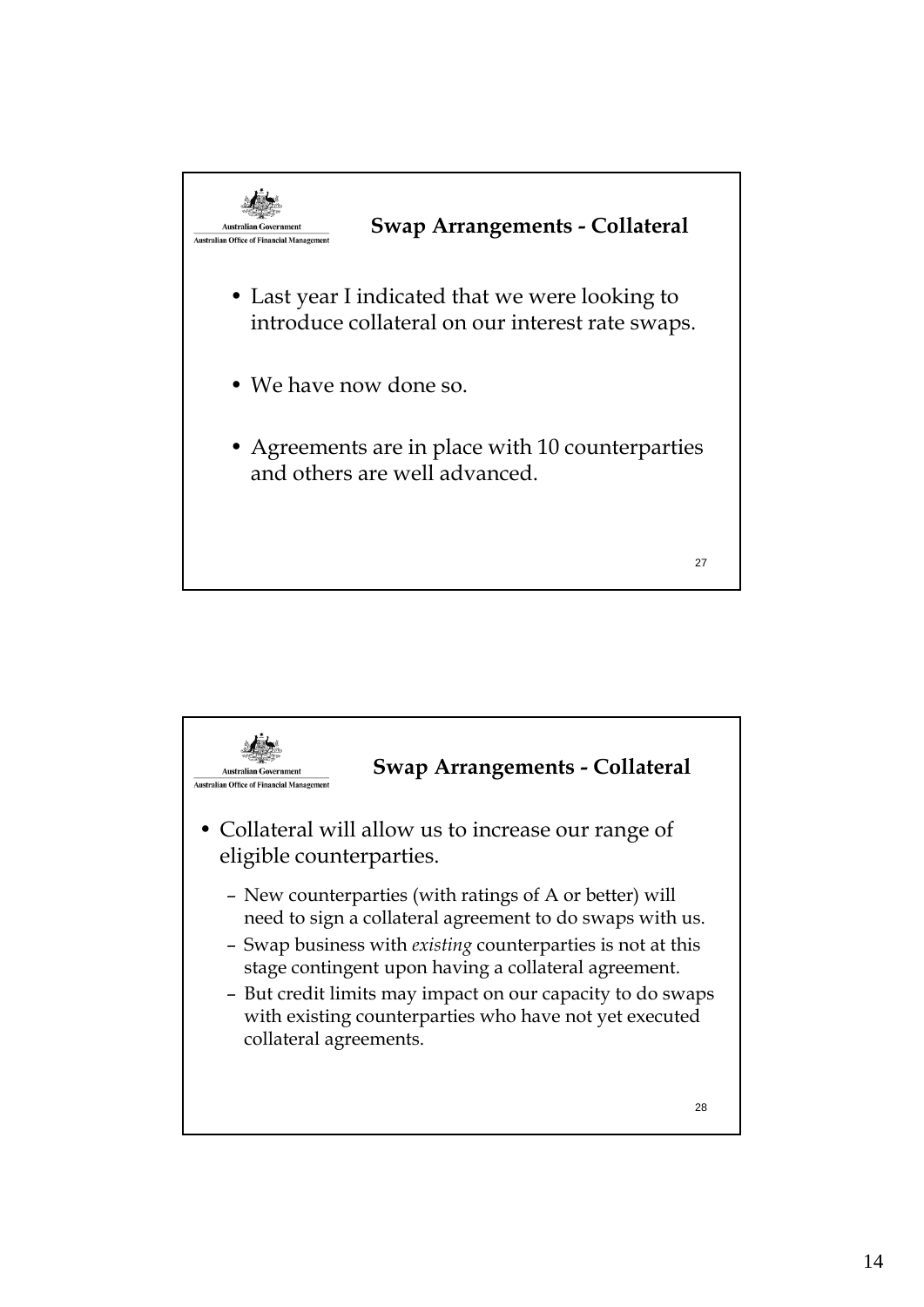

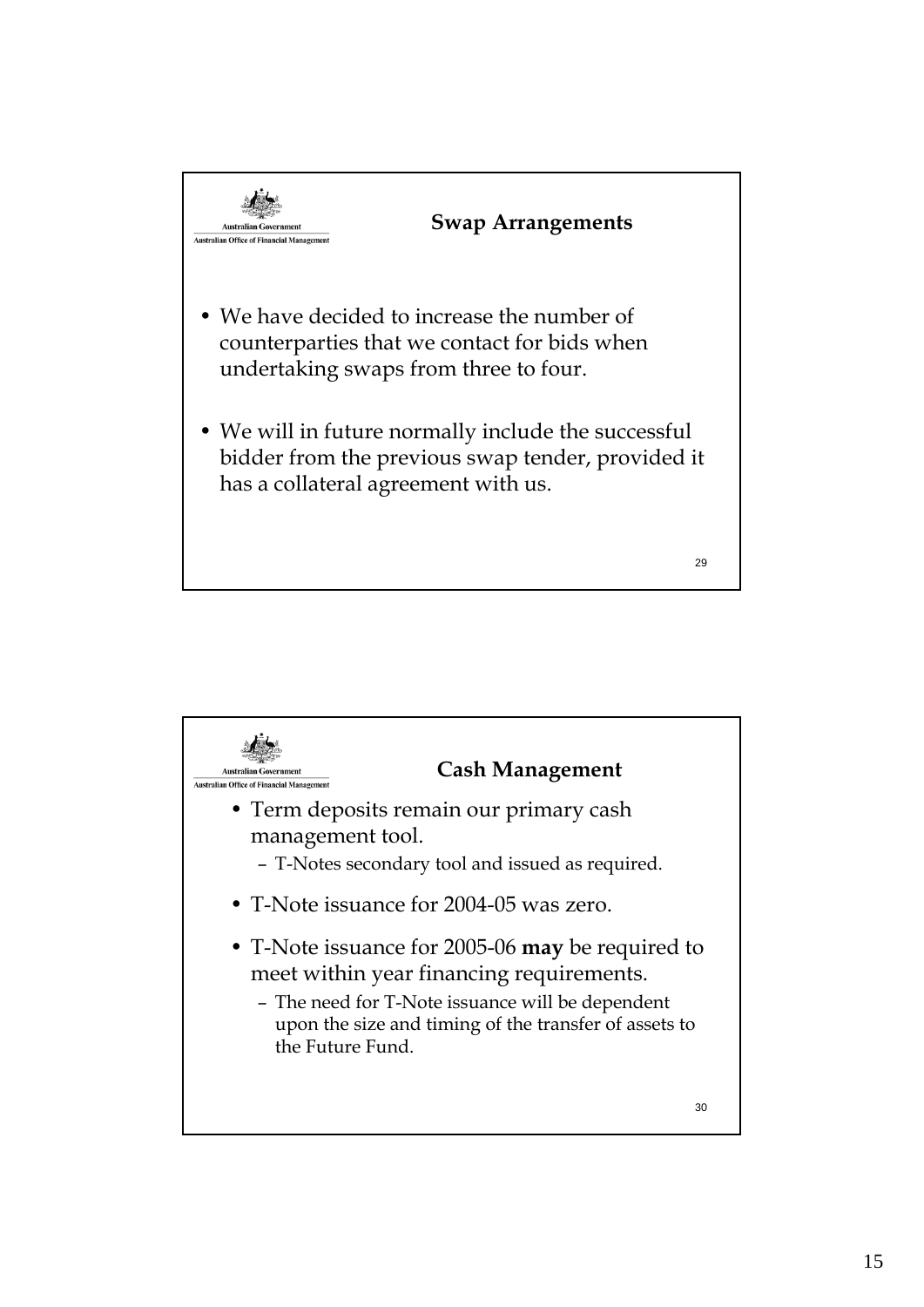